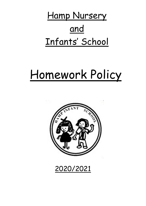Hamp Nursery and Infants' School

# Homework Policy



2020/2021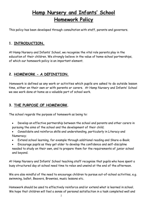## Hamp Nursery and Infants' School Homework Policy

This policy has been developed through consultation with staff, parents and governors.

## 1. INTRODUCTION.

At Hamp Nursery and Infants' School, we recognise the vital role parents play in the education of their children. We strongly believe in the value of home-school partnerships, of which our homework policy is an important element.

## 2. HOMEWORK - A DEFINITION.

Homework is defined as any work or activities which pupils are asked to do outside lesson time, either on their own or with parents or carers. At Hamp Nursery and Infants' School we see work done at home as a valuable part of school work.

## 3. THE PURPOSE OF HOMEWORK.

The school regards the purpose of homework as being to:

- Develop an effective partnership between the school and parents and other carers in pursuing the aims of the school and the development of their child;
- Consolidate and reinforce skills and understanding, particularly in Literacy and Numeracy;
- Extend school learning, for example through additional reading and Share-a-Book;
- Encourage pupils as they get older to develop the confidence and self-discipline needed to study on their own, and to prepare them for the requirements of junior school and beyond.

At Hamp Nursery and Infants' School teaching staff recognise that pupils who have spent a busy structured day at school need time to relax and unwind at the end of the afternoon.

We are also mindful of the need to encourage children to pursue out-of-school activities, e.g. swimming, ballet, Beavers, Brownies, music lessons etc.

Homework should be used to effectively reinforce and/or extend what is learned in school. We hope that children will feel a sense of personal satisfaction in a task completed well and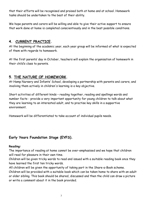that their efforts will be recognised and praised both at home and at school. Homework tasks should be undertaken to the best of their ability.

We hope parents and carers will be willing and able to give their active support to ensure that work done at home is completed conscientiously and in the best possible conditions.

## 4. CURRENT PRACTICE.

At the beginning of the academic year, each year group will be informed of what is expected of them with regards to homework.

At the first parents' day in October, teachers will explain the organisation of homework in their child's class to parents.

## 5. THE NATURE OF HOMEWORK.

At Hamp Nursery and Infants' School, developing a partnership with parents and carers, and involving them actively in children's learning is a key objective.

Short activities of different kinds – reading together, reading and spellings words and number facts - provide a very important opportunity for young children to talk about what they are learning to an interested adult, and to practise key skills in a supportive environment.

Homework will be differentiated to take account of individual pupils needs.

## Early Years Foundation Stage (EYFS).

#### Reading:

The importance of reading at home cannot be over-emphasised and we hope that children will read for pleasure in their own time.

Children will be given tricky words to read and issued with a suitable reading book once they have learned the first ten tricky words.

All children will be given the opportunity of taking part in the Share-a-Book scheme.

Children will be provided with a suitable book which can be taken home to share with an adult or older sibling. This book should be shared, discussed and then the child can draw a picture or write a comment about it in the book provided.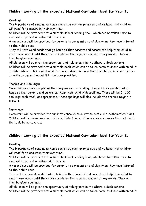## Children working at the expected National Curriculum level for Year 1.

#### Reading:

The importance of reading at home cannot be over-emphasised and we hope that children will read for pleasure in their own time.

Children will be provided with a suitable school reading book, which can be taken home to read with a parent or other adult person.

A record card will be provided for parents to comment on and sign when they have listened to their child read.

They will have word cards that go home so that parents and carers can help their child to read these words until they have completed the required amount of key words. They will then be given spellings.

All children will be given the opportunity of taking part in the Share-a-Book scheme. Children will be provided with a suitable book which can be taken home to share with an adult or older sibling. This book should be shared, discussed and then the child can draw a picture or write a comment about it in the book provided.

#### Phonics and Spellings:

Once children have completed their key words for reading, they will have words that go home so that parents and carers can help their child with spellings. There will be 5 to 10 spellings each week, as appropriate. These spellings will also include the phonics taught in lessons.

#### Numeracy:

Homework will be provided for pupils to consolidate or revise particular mathematical skills. Children will be given one short differentiated piece of homework each week that relates to the topic being covered.

## Children working at the expected National Curriculum level for Year 2.

#### Reading:

The importance of reading at home cannot be over-emphasised and we hope that children will read for pleasure in their own time.

Children will be provided with a suitable school reading book, which can be taken home to read with a parent or other adult person.

A record card will be provided for parents to comment on and sign when they have listened to their child read.

They will have word cards that go home so that parents and carers can help their child to read these words until they have completed the required amount of key words. They will then be given spellings.

All children will be given the opportunity of taking part in the Share-a-Book scheme. Children will be provided with a suitable book which can be taken home to share with an adult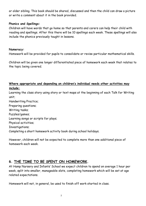or older sibling. This book should be shared, discussed and then the child can draw a picture or write a comment about it in the book provided.

#### Phonics and Spellings:

Children will have words that go home so that parents and carers can help their child with reading and spellings. After this there will be 10 spellings each week. These spellings will also include the phonics previously taught in lessons.

#### Numeracy:

Homework will be provided for pupils to consolidate or revise particular mathematical skills.

Children will be given one longer differentiated piece of homework each week that relates to the topic being covered.

#### Where appropriate and depending on children's individual needs other activities may include:

Learning the class story using story or text maps at the beginning of each Talk for Writing unit;

Handwriting Practice; Preparing questions; Writing tasks; Puzzles/games; Learning songs or scripts for plays; Physical activities; Investigations; Completing a short homework activity book during school holidays.

However, children will not be expected to complete more than one additional piece of homework each week.

## 6. THE TIME TO BE SPENT ON HOMEWORK.

At Hamp Nursery and Infants' School we expect children to spend on average 1 hour per week, split into smaller, manageable slots, completing homework which will be set at age related expectations.

Homework will not, in general, be used to finish off work started in class.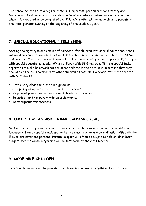The school believes that a regular pattern is important, particularly for Literacy and Numeracy. It will endeavour to establish a familiar routine of when homework is set and when it is expected to be completed by. This information will be made clear to parents at the initial parents' evening at the beginning of the academic year.

## 7. SPECIAL EDUCATIONAL NEEDS (SEN).

Setting the right type and amount of homework for children with special educational needs will need careful consideration by the class teacher and co-ordination with both the SENCo and parents. The objectives of homework outlined in this policy should apply equally to pupils with special educational needs. Whilst children with SEN may benefit from special tasks separate from the homework set for other children in the class, it is important that they should do as much in common with other children as possible. Homework tasks for children with SEN should:

- Have a very clear focus and time-guideline;
- Give plenty of opportunities for pupils to succeed;
- Help develop social as well as other skills where necessary;
- Be varied and not purely written assignments;
- Be manageable for teachers.

## 8. ENGLISH AS AN ADDITIONAL LANGUAGE (EAL).

Setting the right type and amount of homework for children with English as an additional language will need careful consideration by the class teacher and co-ordination with both the EAL co-ordinator and parents. Parents support will often be sought to help children learn subject specific vocabulary which will be sent home by the class teacher.

## 9. MORE ABLE CHILDREN.

Extension homework will be provided for children who have strengths in specific areas.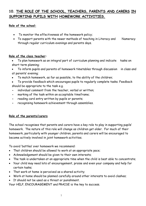## 10. THE ROLE OF THE SCHOOL, TEACHERS, PARENTS AND CARERS IN SUPPORTING PUPILS WITH HOMEWORK ACTIVITIES.

#### Role of the school:

- To monitor the effectiveness of the homework policy;
- To support parents with the newer methods of teaching in Literacy and Numeracy through regular curriculum evenings and parents days.

#### Role of the class teacher:

- To plan homework as an integral part of curriculum planning and indicate tasks on short term planning;
- To inform pupils and parents of homework timetables through discussion in class and at parents' evening;
- To match homework, as far as possible, to the ability of the children;
- To provide feedback which encourages pupils to regularly complete tasks. Feedback should be appropriate to the task e.g.
- individual comment from the teacher, verbal or written;
- marking of the task within an acceptable timeframe;
- reading card entry written by pupils or parents;
- recognising homework achievement through assemblies.

#### Role of the parents/carers

The school recognises that parents and carers have a key role to play in supporting pupils' homework. The nature of this role will change as children get older. For much of their homework, particularly with younger children, parents and carers will be encouraged to become actively involved in joint homework activities.

To avoid 'battles' over homework we recommend:

- That children should be allowed to work at an appropriate pace;
- Acknowledgement should be given to their own interests;
- The task is undertaken at an appropriate time when the child is best able to concentrate;
- Your child may need lots of encouragement, praise and even your company and help for certain tasks;
- That work at home is perceived as a shared activity;
- Work at home should be planned carefully around other interests to avoid clashes;
- It should not be used as a threat or punishment.

Your HELP, ENCOURAGEMENT and PRAISE is the key to success.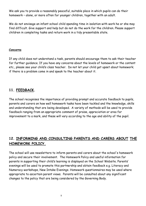We ask you to provide a reasonably peaceful, suitable place in which pupils can do their homework – alone, or more often for younger children, together with an adult.

We do not envisage an infant school child spending time in isolation with work he or she may find difficult. Give support and help but do not do the work for the children. Please support children in completing tasks and return work in a tidy presentable state.

#### Concerns

If any child does not understand a task, parents should encourage them to ask their teacher for further guidance. If you have any concerns about the levels of homework or the content etc., please see your child's class teacher. Do not let your child get upset about homework; if there is a problem come in and speak to the teacher about it.

## 11. FEEDBACK.

The school recognises the importance of providing prompt and accurate feedback to pupils, parents and carers on how well homework tasks have been tackled and the knowledge, skills and understanding that are being developed. A variety of methods will be used to provide feedback ranging from an appropriate comment of praise, appreciation or area for improvement to a mark, and these will vary according to the age and ability of the pupil.

## 12. INFORMING AND CONSULTING PARENTS AND CARERS ABOUT THE HOMEWORK POLICY.

The school will use newsletters to inform parents and carers about the school's homework policy and secure their involvement. The Homework Policy and useful information for parents in supporting their child's learning is displayed on the School Website. Parents' evenings will be used to promote this partnership and obtain feedback e.g. Literacy and Numeracy workshops, New Intake Evenings. Homework questionnaires may be used where appropriate to ascertain parent views. Parents will be consulted about any significant changes to the policy that are being considered by the Governing Body.